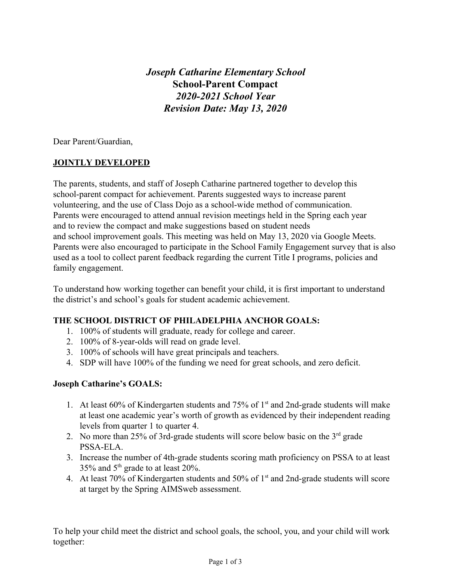*Joseph Catharine Elementary School* **School-Parent Compact** *2020-2021 School Year Revision Date: May 13, 2020*

Dear Parent/Guardian,

## **JOINTLY DEVELOPED**

The parents, students, and staff of Joseph Catharine partnered together to develop this school-parent compact for achievement. Parents suggested ways to increase parent volunteering, and the use of Class Dojo as a school-wide method of communication. Parents were encouraged to attend annual revision meetings held in the Spring each year and to review the compact and make suggestions based on student needs and school improvement goals. This meeting was held on May 13, 2020 via Google Meets. Parents were also encouraged to participate in the School Family Engagement survey that is also used as a tool to collect parent feedback regarding the current Title I programs, policies and family engagement.

To understand how working together can benefit your child, it is first important to understand the district's and school's goals for student academic achievement.

### **THE SCHOOL DISTRICT OF PHILADELPHIA ANCHOR GOALS:**

- 1. 100% of students will graduate, ready for college and career.
- 2. 100% of 8-year-olds will read on grade level.
- 3. 100% of schools will have great principals and teachers.
- 4. SDP will have 100% of the funding we need for great schools, and zero deficit.

### **Joseph Catharine's GOALS:**

- 1. At least 60% of Kindergarten students and 75% of  $1<sup>st</sup>$  and 2nd-grade students will make at least one academic year's worth of growth as evidenced by their independent reading levels from quarter 1 to quarter 4.
- 2. No more than 25% of 3rd-grade students will score below basic on the  $3<sup>rd</sup>$  grade PSSA-ELA.
- 3. Increase the number of 4th-grade students scoring math proficiency on PSSA to at least 35% and  $5<sup>th</sup>$  grade to at least 20%.
- 4. At least 70% of Kindergarten students and 50% of  $1<sup>st</sup>$  and 2nd-grade students will score at target by the Spring AIMSweb assessment.

To help your child meet the district and school goals, the school, you, and your child will work together: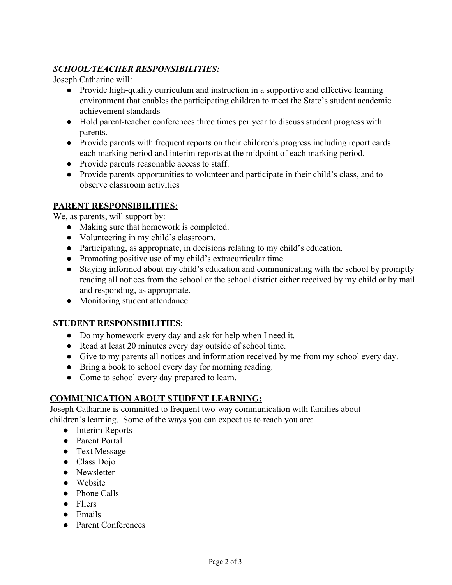# *SCHOOL/TEACHER RESPONSIBILITIES:*

Joseph Catharine will:

- Provide high-quality curriculum and instruction in a supportive and effective learning environment that enables the participating children to meet the State's student academic achievement standards
- Hold parent-teacher conferences three times per year to discuss student progress with parents.
- Provide parents with frequent reports on their children's progress including report cards each marking period and interim reports at the midpoint of each marking period.
- Provide parents reasonable access to staff.
- Provide parents opportunities to volunteer and participate in their child's class, and to observe classroom activities

## **PARENT RESPONSIBILITIES**:

We, as parents, will support by:

- Making sure that homework is completed.
- Volunteering in my child's classroom.
- Participating, as appropriate, in decisions relating to my child's education.
- Promoting positive use of my child's extracurricular time.
- Staying informed about my child's education and communicating with the school by promptly reading all notices from the school or the school district either received by my child or by mail and responding, as appropriate.
- Monitoring student attendance

### **STUDENT RESPONSIBILITIES**:

- Do my homework every day and ask for help when I need it.
- Read at least 20 minutes every day outside of school time.
- Give to my parents all notices and information received by me from my school every day.
- Bring a book to school every day for morning reading.
- Come to school every day prepared to learn.

## **COMMUNICATION ABOUT STUDENT LEARNING:**

Joseph Catharine is committed to frequent two-way communication with families about children's learning. Some of the ways you can expect us to reach you are:

- Interim Reports
- Parent Portal
- Text Message
- Class Dojo
- Newsletter
- Website
- Phone Calls
- Fliers
- Emails
- Parent Conferences